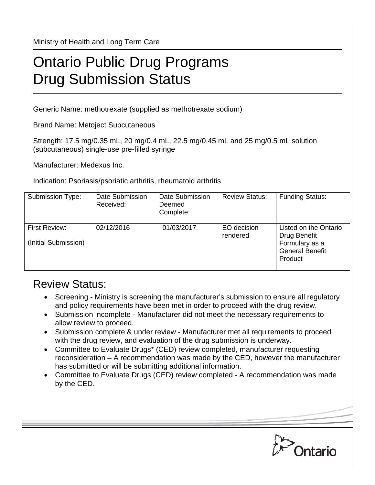Ministry of Health and Long Term Care

## Ontario Public Drug Programs Drug Submission Status

Generic Name: methotrexate (supplied as methotrexate sodium)

Brand Name: Metoject Subcutaneous

Strength: 17.5 mg/0.35 mL, 20 mg/0.4 mL, 22.5 mg/0.45 mL and 25 mg/0.5 mL solution (subcutaneous) single-use pre-filled syringe

Manufacturer: Medexus Inc.

Indication: Psoriasis/psoriatic arthritis, rheumatoid arthritis

| Submission Type:                      | Date Submission<br>Received: | Date Submission<br>Deemed<br>Complete: | <b>Review Status:</b>   | <b>Funding Status:</b>                                                                       |
|---------------------------------------|------------------------------|----------------------------------------|-------------------------|----------------------------------------------------------------------------------------------|
| First Review:<br>(Initial Submission) | 02/12/2016                   | 01/03/2017                             | EO decision<br>rendered | Listed on the Ontario<br>Drug Benefit<br>Formulary as a<br><b>General Benefit</b><br>Product |

## Review Status:

- Screening Ministry is screening the manufacturer's submission to ensure all regulatory and policy requirements have been met in order to proceed with the drug review.
- Submission incomplete Manufacturer did not meet the necessary requirements to allow review to proceed.
- Submission complete & under review Manufacturer met all requirements to proceed with the drug review, and evaluation of the drug submission is underway.
- Committee to Evaluate Drugs\* (CED) review completed, manufacturer requesting reconsideration – A recommendation was made by the CED, however the manufacturer has submitted or will be submitting additional information.
- Committee to Evaluate Drugs (CED) review completed A recommendation was made by the CED.